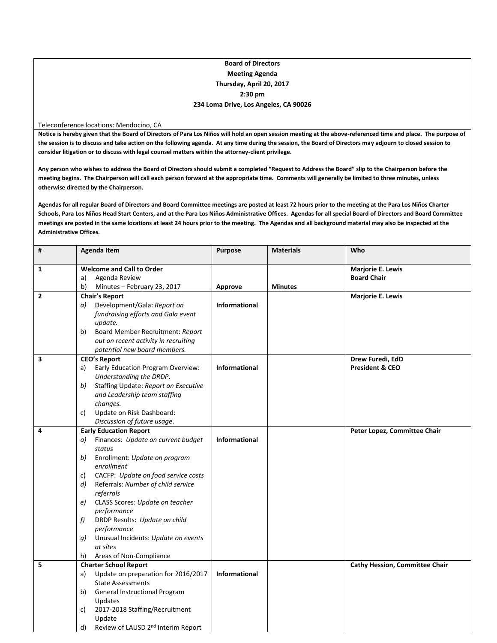### **Board of Directors Meeting Agenda Thursday, April 20, 2017 2:30 pm 234 Loma Drive, Los Angeles, CA 90026**

#### Teleconference locations: Mendocino, CA

**Notice is hereby given that the Board of Directors of Para Los Niños will hold an open session meeting at the above-referenced time and place. The purpose of the session is to discuss and take action on the following agenda. At any time during the session, the Board of Directors may adjourn to closed session to consider litigation or to discuss with legal counsel matters within the attorney-client privilege.**

**Any person who wishes to address the Board of Directors should submit a completed "Request to Address the Board" slip to the Chairperson before the meeting begins. The Chairperson will call each person forward at the appropriate time. Comments will generally be limited to three minutes, unless otherwise directed by the Chairperson.**

**Agendas for all regular Board of Directors and Board Committee meetings are posted at least 72 hours prior to the meeting at the Para Los Niños Charter Schools, Para Los Niños Head Start Centers, and at the Para Los Niños Administrative Offices. Agendas for all special Board of Directors and Board Committee meetings are posted in the same locations at least 24 hours prior to the meeting. The Agendas and all background material may also be inspected at the Administrative Offices.**

| $\pmb{\sharp}$ | <b>Agenda Item</b>                                                                                                                                                                                                                                                                                                                                                                                                                                     | <b>Purpose</b>                  | <b>Materials</b> | Who                                            |
|----------------|--------------------------------------------------------------------------------------------------------------------------------------------------------------------------------------------------------------------------------------------------------------------------------------------------------------------------------------------------------------------------------------------------------------------------------------------------------|---------------------------------|------------------|------------------------------------------------|
| 1              | <b>Welcome and Call to Order</b><br>Agenda Review<br>a)                                                                                                                                                                                                                                                                                                                                                                                                |                                 |                  | Marjorie E. Lewis<br><b>Board Chair</b>        |
| $\mathbf{2}$   | b)<br>Minutes - February 23, 2017<br><b>Chair's Report</b><br>Development/Gala: Report on<br>a)<br>fundraising efforts and Gala event<br>update.                                                                                                                                                                                                                                                                                                       | Approve<br><b>Informational</b> | <b>Minutes</b>   | <b>Marjorie E. Lewis</b>                       |
|                | Board Member Recruitment: Report<br>b)<br>out on recent activity in recruiting<br>potential new board members.                                                                                                                                                                                                                                                                                                                                         |                                 |                  |                                                |
| 3              | <b>CEO's Report</b><br>Early Education Program Overview:<br>a)<br>Understanding the DRDP.<br>Staffing Update: Report on Executive<br>b)<br>and Leadership team staffing<br>changes.<br>Update on Risk Dashboard:<br>c)<br>Discussion of future usage.                                                                                                                                                                                                  | <b>Informational</b>            |                  | Drew Furedi, EdD<br><b>President &amp; CEO</b> |
| 4              | <b>Early Education Report</b><br>Finances: Update on current budget<br>a)<br>status<br>Enrollment: Update on program<br>b)<br>enrollment<br>CACFP: Update on food service costs<br>C)<br>Referrals: Number of child service<br>d)<br>referrals<br>CLASS Scores: Update on teacher<br>e)<br>performance<br>DRDP Results: Update on child<br>f)<br>performance<br>Unusual Incidents: Update on events<br>a)<br>at sites<br>Areas of Non-Compliance<br>h) | Informational                   |                  | Peter Lopez, Committee Chair                   |
| 5              | <b>Charter School Report</b><br>Update on preparation for 2016/2017<br>a)<br><b>State Assessments</b><br>General Instructional Program<br>b)<br>Updates<br>2017-2018 Staffing/Recruitment<br>c)<br>Update<br>Review of LAUSD 2 <sup>nd</sup> Interim Report<br>d)                                                                                                                                                                                      | <b>Informational</b>            |                  | <b>Cathy Hession, Committee Chair</b>          |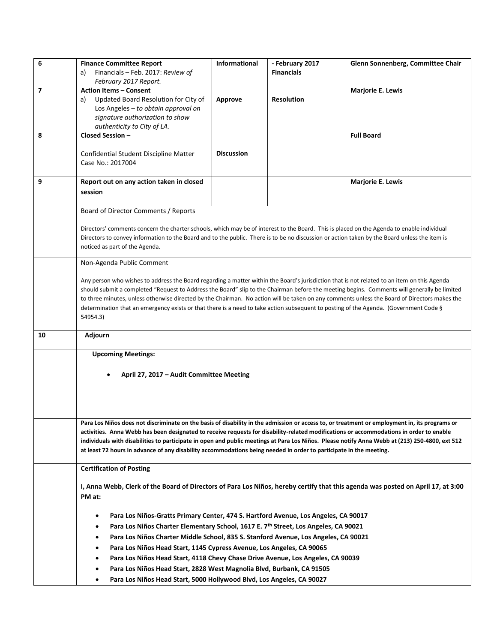| 6  | <b>Finance Committee Report</b>                                                                                                                                                                                                                                                             | Informational     | - February 2017   | Glenn Sonnenberg, Committee Chair |  |  |  |  |
|----|---------------------------------------------------------------------------------------------------------------------------------------------------------------------------------------------------------------------------------------------------------------------------------------------|-------------------|-------------------|-----------------------------------|--|--|--|--|
|    | Financials - Feb. 2017: Review of<br>a)                                                                                                                                                                                                                                                     |                   | <b>Financials</b> |                                   |  |  |  |  |
|    | February 2017 Report.                                                                                                                                                                                                                                                                       |                   |                   |                                   |  |  |  |  |
| 7  | <b>Action Items - Consent</b><br>Updated Board Resolution for City of                                                                                                                                                                                                                       | Approve           | <b>Resolution</b> | <b>Marjorie E. Lewis</b>          |  |  |  |  |
|    | a)<br>Los Angeles - to obtain approval on                                                                                                                                                                                                                                                   |                   |                   |                                   |  |  |  |  |
|    | signature authorization to show                                                                                                                                                                                                                                                             |                   |                   |                                   |  |  |  |  |
|    | authenticity to City of LA.                                                                                                                                                                                                                                                                 |                   |                   |                                   |  |  |  |  |
| 8  | Closed Session -                                                                                                                                                                                                                                                                            |                   |                   | <b>Full Board</b>                 |  |  |  |  |
|    |                                                                                                                                                                                                                                                                                             |                   |                   |                                   |  |  |  |  |
|    | Confidential Student Discipline Matter                                                                                                                                                                                                                                                      | <b>Discussion</b> |                   |                                   |  |  |  |  |
|    | Case No.: 2017004                                                                                                                                                                                                                                                                           |                   |                   |                                   |  |  |  |  |
| 9  | Report out on any action taken in closed                                                                                                                                                                                                                                                    |                   |                   | <b>Marjorie E. Lewis</b>          |  |  |  |  |
|    | session                                                                                                                                                                                                                                                                                     |                   |                   |                                   |  |  |  |  |
|    |                                                                                                                                                                                                                                                                                             |                   |                   |                                   |  |  |  |  |
|    | Board of Director Comments / Reports                                                                                                                                                                                                                                                        |                   |                   |                                   |  |  |  |  |
|    |                                                                                                                                                                                                                                                                                             |                   |                   |                                   |  |  |  |  |
|    | Directors' comments concern the charter schools, which may be of interest to the Board. This is placed on the Agenda to enable individual                                                                                                                                                   |                   |                   |                                   |  |  |  |  |
|    | Directors to convey information to the Board and to the public. There is to be no discussion or action taken by the Board unless the item is                                                                                                                                                |                   |                   |                                   |  |  |  |  |
|    | noticed as part of the Agenda.                                                                                                                                                                                                                                                              |                   |                   |                                   |  |  |  |  |
|    | Non-Agenda Public Comment                                                                                                                                                                                                                                                                   |                   |                   |                                   |  |  |  |  |
|    |                                                                                                                                                                                                                                                                                             |                   |                   |                                   |  |  |  |  |
|    | Any person who wishes to address the Board regarding a matter within the Board's jurisdiction that is not related to an item on this Agenda                                                                                                                                                 |                   |                   |                                   |  |  |  |  |
|    | should submit a completed "Request to Address the Board" slip to the Chairman before the meeting begins. Comments will generally be limited<br>to three minutes, unless otherwise directed by the Chairman. No action will be taken on any comments unless the Board of Directors makes the |                   |                   |                                   |  |  |  |  |
|    | determination that an emergency exists or that there is a need to take action subsequent to posting of the Agenda. (Government Code §                                                                                                                                                       |                   |                   |                                   |  |  |  |  |
|    | 54954.3)                                                                                                                                                                                                                                                                                    |                   |                   |                                   |  |  |  |  |
|    |                                                                                                                                                                                                                                                                                             |                   |                   |                                   |  |  |  |  |
| 10 | Adjourn                                                                                                                                                                                                                                                                                     |                   |                   |                                   |  |  |  |  |
|    | <b>Upcoming Meetings:</b>                                                                                                                                                                                                                                                                   |                   |                   |                                   |  |  |  |  |
|    |                                                                                                                                                                                                                                                                                             |                   |                   |                                   |  |  |  |  |
|    | April 27, 2017 - Audit Committee Meeting                                                                                                                                                                                                                                                    |                   |                   |                                   |  |  |  |  |
|    |                                                                                                                                                                                                                                                                                             |                   |                   |                                   |  |  |  |  |
|    |                                                                                                                                                                                                                                                                                             |                   |                   |                                   |  |  |  |  |
|    |                                                                                                                                                                                                                                                                                             |                   |                   |                                   |  |  |  |  |
|    | Para Los Niños does not discriminate on the basis of disability in the admission or access to, or treatment or employment in, its programs or                                                                                                                                               |                   |                   |                                   |  |  |  |  |
|    | activities. Anna Webb has been designated to receive requests for disability-related modifications or accommodations in order to enable                                                                                                                                                     |                   |                   |                                   |  |  |  |  |
|    | individuals with disabilities to participate in open and public meetings at Para Los Niños. Please notify Anna Webb at (213) 250-4800, ext 512                                                                                                                                              |                   |                   |                                   |  |  |  |  |
|    | at least 72 hours in advance of any disability accommodations being needed in order to participate in the meeting.                                                                                                                                                                          |                   |                   |                                   |  |  |  |  |
|    | <b>Certification of Posting</b>                                                                                                                                                                                                                                                             |                   |                   |                                   |  |  |  |  |
|    | I, Anna Webb, Clerk of the Board of Directors of Para Los Niños, hereby certify that this agenda was posted on April 17, at 3:00                                                                                                                                                            |                   |                   |                                   |  |  |  |  |
|    | PM at:                                                                                                                                                                                                                                                                                      |                   |                   |                                   |  |  |  |  |
|    |                                                                                                                                                                                                                                                                                             |                   |                   |                                   |  |  |  |  |
|    | Para Los Niños-Gratts Primary Center, 474 S. Hartford Avenue, Los Angeles, CA 90017                                                                                                                                                                                                         |                   |                   |                                   |  |  |  |  |
|    | Para Los Niños Charter Elementary School, 1617 E. 7 <sup>th</sup> Street, Los Angeles, CA 90021                                                                                                                                                                                             |                   |                   |                                   |  |  |  |  |
|    | Para Los Niños Charter Middle School, 835 S. Stanford Avenue, Los Angeles, CA 90021                                                                                                                                                                                                         |                   |                   |                                   |  |  |  |  |
|    | Para Los Niños Head Start, 1145 Cypress Avenue, Los Angeles, CA 90065                                                                                                                                                                                                                       |                   |                   |                                   |  |  |  |  |
|    |                                                                                                                                                                                                                                                                                             |                   |                   |                                   |  |  |  |  |
|    | Para Los Niños Head Start, 4118 Chevy Chase Drive Avenue, Los Angeles, CA 90039<br>Para Los Niños Head Start, 2828 West Magnolia Blvd, Burbank, CA 91505<br>٠                                                                                                                               |                   |                   |                                   |  |  |  |  |
|    | Para Los Niños Head Start, 5000 Hollywood Blvd, Los Angeles, CA 90027<br>$\bullet$                                                                                                                                                                                                          |                   |                   |                                   |  |  |  |  |
|    |                                                                                                                                                                                                                                                                                             |                   |                   |                                   |  |  |  |  |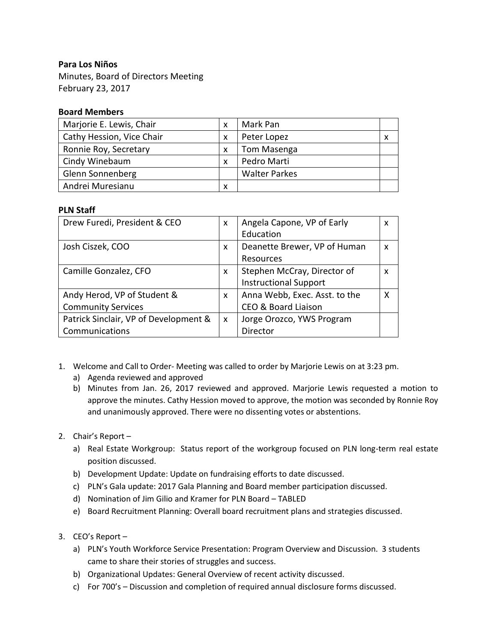# **Para Los Niños**

Minutes, Board of Directors Meeting February 23, 2017

# **Board Members**

| Marjorie E. Lewis, Chair  |   | Mark Pan             |   |
|---------------------------|---|----------------------|---|
| Cathy Hession, Vice Chair |   | Peter Lopez          | x |
| Ronnie Roy, Secretary     |   | Tom Masenga          |   |
| Cindy Winebaum            |   | Pedro Marti          |   |
| Glenn Sonnenberg          |   | <b>Walter Parkes</b> |   |
| Andrei Muresianu          | х |                      |   |

# **PLN Staff**

| Drew Furedi, President & CEO          | X                         | Angela Capone, VP of Early    | X |
|---------------------------------------|---------------------------|-------------------------------|---|
|                                       |                           | Education                     |   |
| Josh Ciszek, COO                      | X                         | Deanette Brewer, VP of Human  | x |
|                                       |                           | Resources                     |   |
| Camille Gonzalez, CFO                 | X                         | Stephen McCray, Director of   | X |
|                                       |                           | <b>Instructional Support</b>  |   |
| Andy Herod, VP of Student &           | X                         | Anna Webb, Exec. Asst. to the | X |
| <b>Community Services</b>             |                           | CEO & Board Liaison           |   |
| Patrick Sinclair, VP of Development & | $\boldsymbol{\mathsf{x}}$ | Jorge Orozco, YWS Program     |   |
| Communications                        |                           | Director                      |   |

- 1. Welcome and Call to Order- Meeting was called to order by Marjorie Lewis on at 3:23 pm.
	- a) Agenda reviewed and approved
	- b) Minutes from Jan. 26, 2017 reviewed and approved. Marjorie Lewis requested a motion to approve the minutes. Cathy Hession moved to approve, the motion was seconded by Ronnie Roy and unanimously approved. There were no dissenting votes or abstentions.
- 2. Chair's Report
	- a) Real Estate Workgroup: Status report of the workgroup focused on PLN long-term real estate position discussed.
	- b) Development Update: Update on fundraising efforts to date discussed.
	- c) PLN's Gala update: 2017 Gala Planning and Board member participation discussed.
	- d) Nomination of Jim Gilio and Kramer for PLN Board TABLED
	- e) Board Recruitment Planning: Overall board recruitment plans and strategies discussed.
- 3. CEO's Report
	- a) PLN's Youth Workforce Service Presentation: Program Overview and Discussion. 3 students came to share their stories of struggles and success.
	- b) Organizational Updates: General Overview of recent activity discussed.
	- c) For 700's Discussion and completion of required annual disclosure forms discussed.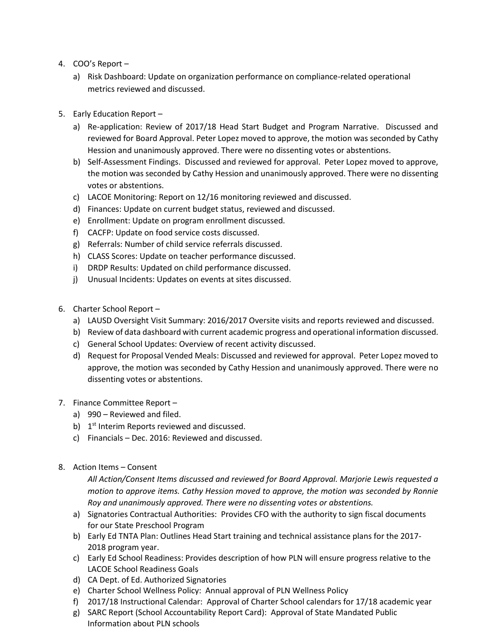- 4. COO's Report
	- a) Risk Dashboard: Update on organization performance on compliance-related operational metrics reviewed and discussed.
- 5. Early Education Report
	- a) Re-application: Review of 2017/18 Head Start Budget and Program Narrative. Discussed and reviewed for Board Approval. Peter Lopez moved to approve, the motion was seconded by Cathy Hession and unanimously approved. There were no dissenting votes or abstentions.
	- b) Self-Assessment Findings. Discussed and reviewed for approval. Peter Lopez moved to approve, the motion was seconded by Cathy Hession and unanimously approved. There were no dissenting votes or abstentions.
	- c) LACOE Monitoring: Report on 12/16 monitoring reviewed and discussed.
	- d) Finances: Update on current budget status, reviewed and discussed.
	- e) Enrollment: Update on program enrollment discussed.
	- f) CACFP: Update on food service costs discussed.
	- g) Referrals: Number of child service referrals discussed.
	- h) CLASS Scores: Update on teacher performance discussed.
	- i) DRDP Results: Updated on child performance discussed.
	- j) Unusual Incidents: Updates on events at sites discussed.
- 6. Charter School Report
	- a) LAUSD Oversight Visit Summary: 2016/2017 Oversite visits and reports reviewed and discussed.
	- b) Review of data dashboard with current academic progress and operational information discussed.
	- c) General School Updates: Overview of recent activity discussed.
	- d) Request for Proposal Vended Meals: Discussed and reviewed for approval. Peter Lopez moved to approve, the motion was seconded by Cathy Hession and unanimously approved. There were no dissenting votes or abstentions.
- 7. Finance Committee Report
	- a) 990 Reviewed and filed.
	- b) 1<sup>st</sup> Interim Reports reviewed and discussed.
	- c) Financials Dec. 2016: Reviewed and discussed.
- 8. Action Items Consent

*All Action/Consent Items discussed and reviewed for Board Approval. Marjorie Lewis requested a motion to approve items. Cathy Hession moved to approve, the motion was seconded by Ronnie Roy and unanimously approved. There were no dissenting votes or abstentions.*

- a) Signatories Contractual Authorities: Provides CFO with the authority to sign fiscal documents for our State Preschool Program
- b) Early Ed TNTA Plan: Outlines Head Start training and technical assistance plans for the 2017- 2018 program year.
- c) Early Ed School Readiness: Provides description of how PLN will ensure progress relative to the LACOE School Readiness Goals
- d) CA Dept. of Ed. Authorized Signatories
- e) Charter School Wellness Policy: Annual approval of PLN Wellness Policy
- f) 2017/18 Instructional Calendar: Approval of Charter School calendars for 17/18 academic year
- g) SARC Report (School Accountability Report Card): Approval of State Mandated Public Information about PLN schools